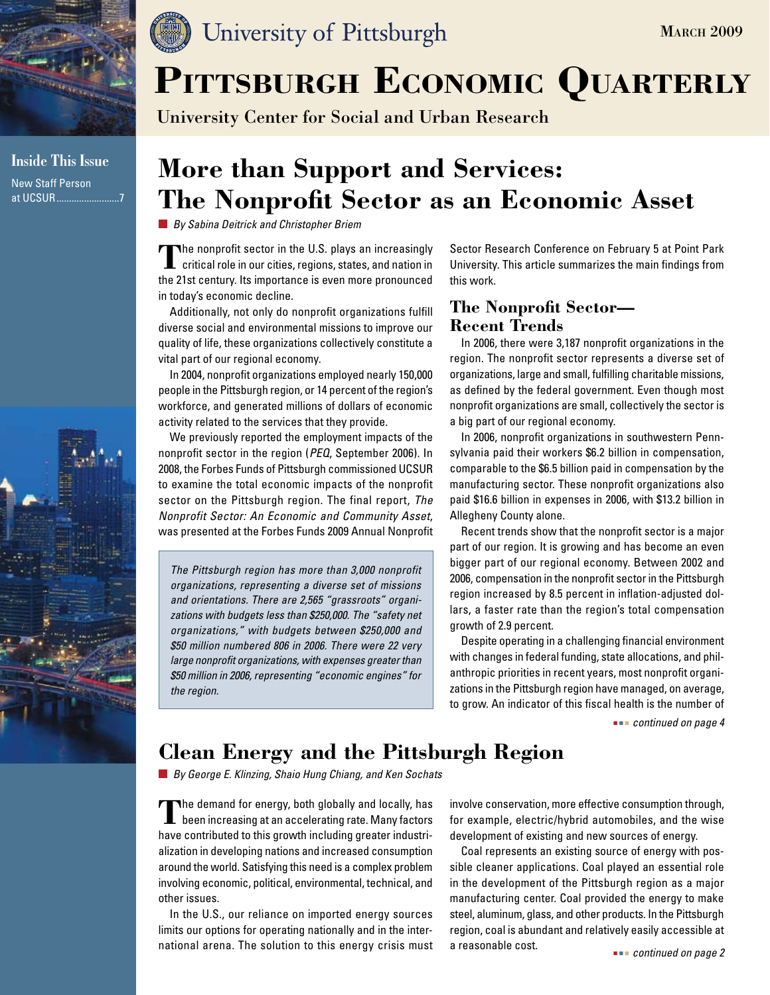

**Inside This Issue** New Staff Person at UCSUR.........................7



## University of Pittsburgh

# PITTSBURGH ECONOMIC QUARTERLY

University Center for Social and Urban Research

## **More than Support and Services: The Nonprofit Sector as an Economic Asset**

*By Sabina Deitrick and Christopher Briem*

**T**he nonprofit sector in the U.S. plays an increasingly  $\mathsf L\,$  critical role in our cities, regions, states, and nation in the 21st century. Its importance is even more pronounced in today's economic decline.

Additionally, not only do nonprofit organizations fulfill diverse social and environmental missions to improve our quality of life, these organizations collectively constitute a vital part of our regional economy.

In 2004, nonprofit organizations employed nearly 150,000 people in the Pittsburgh region, or 14 percent of the region's workforce, and generated millions of dollars of economic activity related to the services that they provide.

We previously reported the employment impacts of the nonprofit sector in the region (*PEQ*, September 2006). In 2008, the Forbes Funds of Pittsburgh commissioned UCSUR to examine the total economic impacts of the nonprofit sector on the Pittsburgh region. The final report, *The Nonprofit Sector: An Economic and Community Asset*, was presented at the Forbes Funds 2009 Annual Nonprofit

*The Pittsburgh region has more than 3,000 nonprofit organizations, representing a diverse set of missions and orientations. There are 2,565 "grassroots" organizations with budgets less than \$250,000. The "safety net organizations," with budgets between \$250,000 and \$50 million numbered 806 in 2006. There were 22 very large nonprofit organizations, with expenses greater than \$50 million in 2006, representing "economic engines" for the region.*

Sector Research Conference on February 5 at Point Park University. This article summarizes the main findings from this work.

## **The Nonprofit Sector— Recent Trends**

In 2006, there were 3,187 nonprofit organizations in the region. The nonprofit sector represents a diverse set of organizations, large and small, fulfilling charitable missions, as defined by the federal government. Even though most nonprofit organizations are small, collectively the sector is a big part of our regional economy.

In 2006, nonprofit organizations in southwestern Pennsylvania paid their workers \$6.2 billion in compensation, comparable to the \$6.5 billion paid in compensation by the manufacturing sector. These nonprofit organizations also paid \$16.6 billion in expenses in 2006, with \$13.2 billion in Allegheny County alone.

Recent trends show that the nonprofit sector is a major part of our region. It is growing and has become an even bigger part of our regional economy. Between 2002 and 2006, compensation in the nonprofit sector in the Pittsburgh region increased by 8.5 percent in inflation-adjusted dollars, a faster rate than the region's total compensation growth of 2.9 percent.

Despite operating in a challenging financial environment with changes in federal funding, state allocations, and philanthropic priorities in recent years, most nonprofit organizations in the Pittsburgh region have managed, on average, to grow. An indicator of this fiscal health is the number of

 *continued on page 4*

## **Clean Energy and the Pittsburgh Region**

*By George E. Klinzing, Shaio Hung Chiang, and Ken Sochats*

The demand for energy, both globally and locally, has  ${\mathsf L}\;$  been increasing at an accelerating rate. Many factors have contributed to this growth including greater industrialization in developing nations and increased consumption around the world. Satisfying this need is a complex problem involving economic, political, environmental, technical, and other issues.

In the U.S., our reliance on imported energy sources limits our options for operating nationally and in the international arena. The solution to this energy crisis must involve conservation, more effective consumption through, for example, electric/hybrid automobiles, and the wise development of existing and new sources of energy.

Coal represents an existing source of energy with possible cleaner applications. Coal played an essential role in the development of the Pittsburgh region as a major manufacturing center. Coal provided the energy to make steel, aluminum, glass, and other products. In the Pittsburgh region, coal is abundant and relatively easily accessible at a reasonable cost.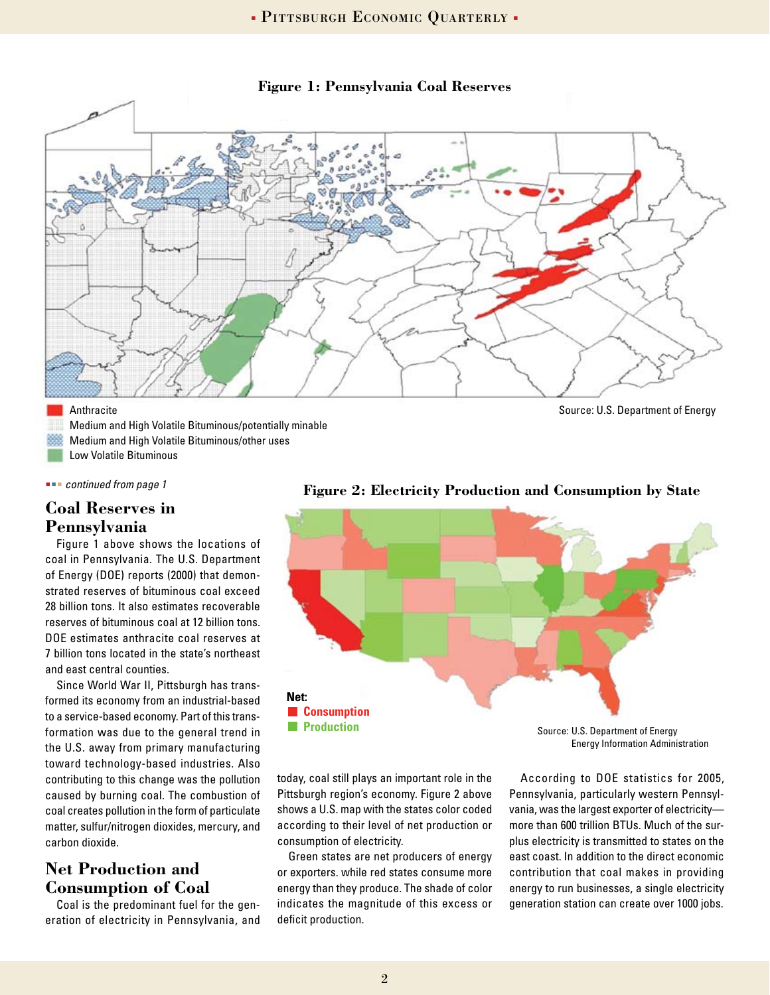

#### **Figure 1: Pennsylvania Coal Reserves**

#### Anthracite

Medium and High Volatile Bituminous/potentially minable Medium and High Volatile Bituminous/other uses Low Volatile Bituminous

 *continued from page 1*

### **Coal Reserves in Pennsylvania**

Figure 1 above shows the locations of coal in Pennsylvania. The U.S. Department of Energy (DOE) reports (2000) that demonstrated reserves of bituminous coal exceed 28 billion tons. It also estimates recoverable reserves of bituminous coal at 12 billion tons. DOE estimates anthracite coal reserves at 7 billion tons located in the state's northeast and east central counties.

Since World War II, Pittsburgh has transformed its economy from an industrial-based to a service-based economy. Part of this transformation was due to the general trend in the U.S. away from primary manufacturing toward technology-based industries. Also contributing to this change was the pollution caused by burning coal. The combustion of coal creates pollution in the form of particulate matter, sulfur/nitrogen dioxides, mercury, and carbon dioxide.

## **Net Production and Consumption of Coal**

Coal is the predominant fuel for the generation of electricity in Pennsylvania, and

Source: U.S. Department of Energy



**Figure 2: Electricity Production and Consumption by State**

today, coal still plays an important role in the Pittsburgh region's economy. Figure 2 above shows a U.S. map with the states color coded according to their level of net production or consumption of electricity.

Green states are net producers of energy or exporters. while red states consume more energy than they produce. The shade of color indicates the magnitude of this excess or deficit production.

Energy Information Administration

According to DOE statistics for 2005, Pennsylvania, particularly western Pennsylvania, was the largest exporter of electricity more than 600 trillion BTUs. Much of the surplus electricity is transmitted to states on the east coast. In addition to the direct economic contribution that coal makes in providing energy to run businesses, a single electricity generation station can create over 1000 jobs.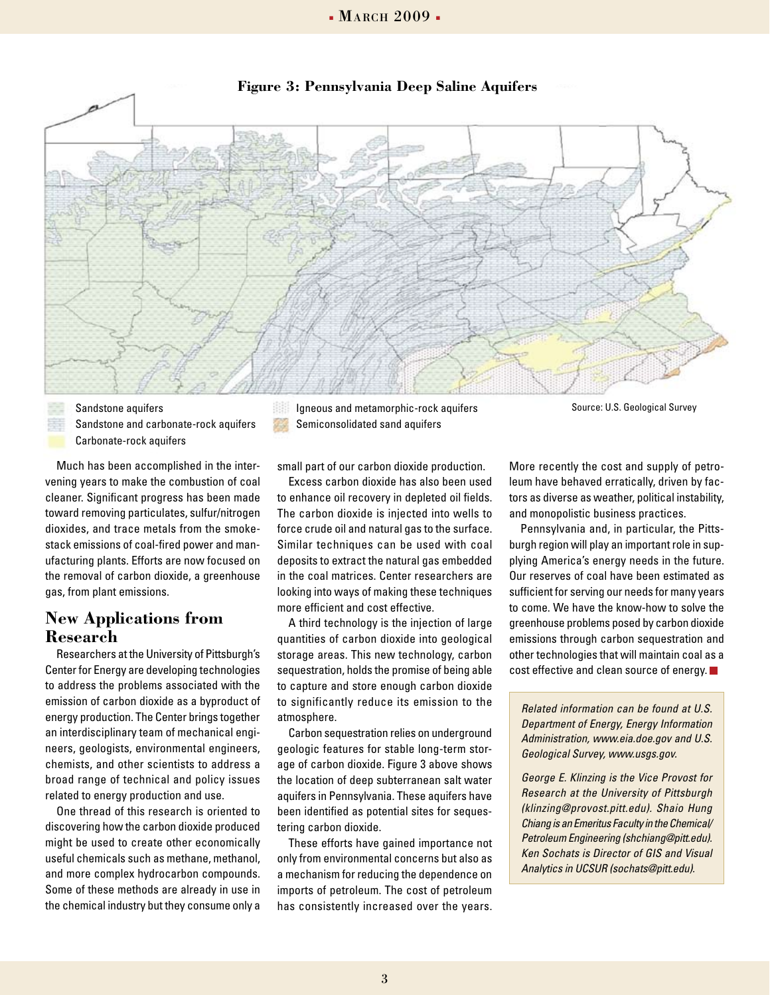

#### **Figure 3: Pennsylvania Deep Saline Aquifers**

Sandstone and carbonate-rock aquifers Carbonate-rock aquifers

Much has been accomplished in the intervening years to make the combustion of coal cleaner. Significant progress has been made toward removing particulates, sulfur/nitrogen dioxides, and trace metals from the smokestack emissions of coal-fired power and manufacturing plants. Efforts are now focused on the removal of carbon dioxide, a greenhouse gas, from plant emissions.

### **New Applications from Research**

Researchers at the University of Pittsburgh's Center for Energy are developing technologies to address the problems associated with the emission of carbon dioxide as a byproduct of energy production. The Center brings together an interdisciplinary team of mechanical engineers, geologists, environmental engineers, chemists, and other scientists to address a broad range of technical and policy issues related to energy production and use.

One thread of this research is oriented to discovering how the carbon dioxide produced might be used to create other economically useful chemicals such as methane, methanol, and more complex hydrocarbon compounds. Some of these methods are already in use in the chemical industry but they consume only a

Sandstone aquifers Source: U.S. Geological Survey Igneous and metamorphic-rock aquifers Semiconsolidated sand aquifers

small part of our carbon dioxide production.

Excess carbon dioxide has also been used to enhance oil recovery in depleted oil fields. The carbon dioxide is injected into wells to force crude oil and natural gas to the surface. Similar techniques can be used with coal deposits to extract the natural gas embedded in the coal matrices. Center researchers are looking into ways of making these techniques more efficient and cost effective.

A third technology is the injection of large quantities of carbon dioxide into geological storage areas. This new technology, carbon sequestration, holds the promise of being able to capture and store enough carbon dioxide to significantly reduce its emission to the atmosphere.

Carbon sequestration relies on underground geologic features for stable long-term storage of carbon dioxide. Figure 3 above shows the location of deep subterranean salt water aquifers in Pennsylvania. These aquifers have been identified as potential sites for sequestering carbon dioxide.

These efforts have gained importance not only from environmental concerns but also as a mechanism for reducing the dependence on imports of petroleum. The cost of petroleum has consistently increased over the years.

More recently the cost and supply of petroleum have behaved erratically, driven by factors as diverse as weather, political instability, and monopolistic business practices.

Pennsylvania and, in particular, the Pittsburgh region will play an important role in supplying America's energy needs in the future. Our reserves of coal have been estimated as sufficient for serving our needs for many years to come. We have the know-how to solve the greenhouse problems posed by carbon dioxide emissions through carbon sequestration and other technologies that will maintain coal as a cost effective and clean source of energy.

*Related information can be found at U.S. Department of Energy, Energy Information Administration, www.eia.doe.gov and U.S. Geological Survey, www.usgs.gov.*

*George E. Klinzing is the Vice Provost for Research at the University of Pittsburgh (klinzing@provost.pitt.edu). Shaio Hung Chiang is an Emeritus Faculty in the Chemical/ Petroleum Engineering (shchiang@pitt.edu). Ken Sochats is Director of GIS and Visual Analytics in UCSUR (sochats@pitt.edu).*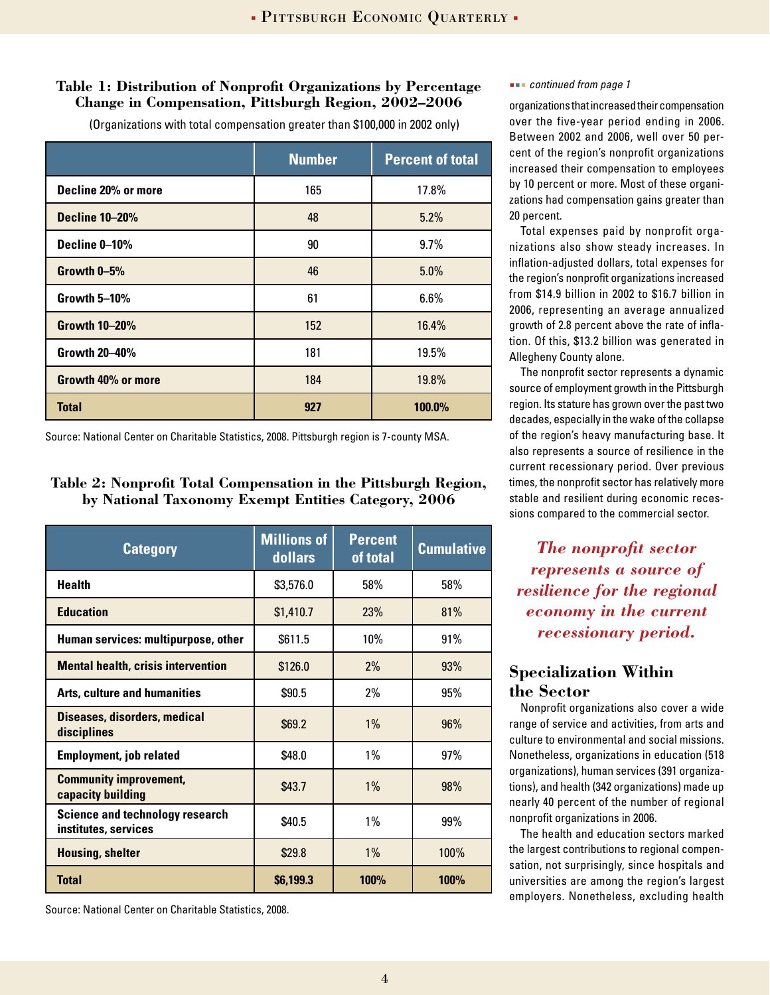### **Table 1: Distribution of Nonprofit Organizations by Percentage Change in Compensation, Pittsburgh Region, 2002–2006**

(Organizations with total compensation greater than \$100,000 in 2002 only)

|                       | <b>Number</b> | <b>Percent of total</b> |
|-----------------------|---------------|-------------------------|
| Decline 20% or more   | 165           | 17.8%                   |
| <b>Decline 10-20%</b> | 48            | 5.2%                    |
| Decline 0-10%         | 90            | 9.7%                    |
| Growth 0-5%           | 46            | 5.0%                    |
| Growth 5-10%          | 61            | 6.6%                    |
| <b>Growth 10-20%</b>  | 152           | 16.4%                   |
| <b>Growth 20-40%</b>  | 181           | 19.5%                   |
| Growth 40% or more    | 184           | 19.8%                   |
| <b>Total</b>          | 927           | 100.0%                  |

Source: National Center on Charitable Statistics, 2008. Pittsburgh region is 7-county MSA.

#### **Table 2: Nonprofit Total Compensation in the Pittsburgh Region, by National Taxonomy Exempt Entities Category, 2006**

| <b>Category</b>                                                | <b>Millions of</b><br>dollars | <b>Percent</b><br>of total | <b>Cumulative</b> |
|----------------------------------------------------------------|-------------------------------|----------------------------|-------------------|
| <b>Health</b>                                                  | \$3,576.0                     | 58%                        | 58%               |
| <b>Education</b>                                               | \$1,410.7                     | 23%                        | 81%               |
| Human services: multipurpose, other                            | \$611.5                       | 10%                        | 91%               |
| <b>Mental health, crisis intervention</b>                      | \$126.0                       | 2%                         | 93%               |
| <b>Arts, culture and humanities</b>                            | \$90.5                        | 2%                         | 95%               |
| <b>Diseases, disorders, medical</b><br>disciplines             | \$69.2                        | 1%                         | 96%               |
| <b>Employment, job related</b>                                 | \$48.0                        | $1\%$                      | 97%               |
| <b>Community improvement,</b><br>capacity building             | \$43.7                        | 1%                         | 98%               |
| <b>Science and technology research</b><br>institutes, services | \$40.5                        | $1\%$                      | 99%               |
| <b>Housing, shelter</b>                                        | \$29.8                        | $1\%$                      | 100%              |
| <b>Total</b>                                                   | \$6,199.3                     | 100%                       | 100%              |

Source: National Center on Charitable Statistics, 2008.

#### *continued from page 1*

organizations that increased their compensation over the five-year period ending in 2006. Between 2002 and 2006, well over 50 percent of the region's nonprofit organizations increased their compensation to employees by 10 percent or more. Most of these organizations had compensation gains greater than 20 percent.

Total expenses paid by nonprofit organizations also show steady increases. In inflation-adjusted dollars, total expenses for the region's nonprofit organizations increased from \$14.9 billion in 2002 to \$16.7 billion in 2006, representing an average annualized growth of 2.8 percent above the rate of inflation. Of this, \$13.2 billion was generated in Allegheny County alone.

The nonprofit sector represents a dynamic source of employment growth in the Pittsburgh region. Its stature has grown over the past two decades, especially in the wake of the collapse of the region's heavy manufacturing base. It also represents a source of resilience in the current recessionary period. Over previous times, the nonprofit sector has relatively more stable and resilient during economic recessions compared to the commercial sector.

*The nonprofit sector represents a source of resilience for the regional economy in the current recessionary period.*

## **Specialization Within the Sector**

Nonprofit organizations also cover a wide range of service and activities, from arts and culture to environmental and social missions. Nonetheless, organizations in education (518 organizations), human services (391 organizations), and health (342 organizations) made up nearly 40 percent of the number of regional nonprofit organizations in 2006.

The health and education sectors marked the largest contributions to regional compensation, not surprisingly, since hospitals and universities are among the region's largest employers. Nonetheless, excluding health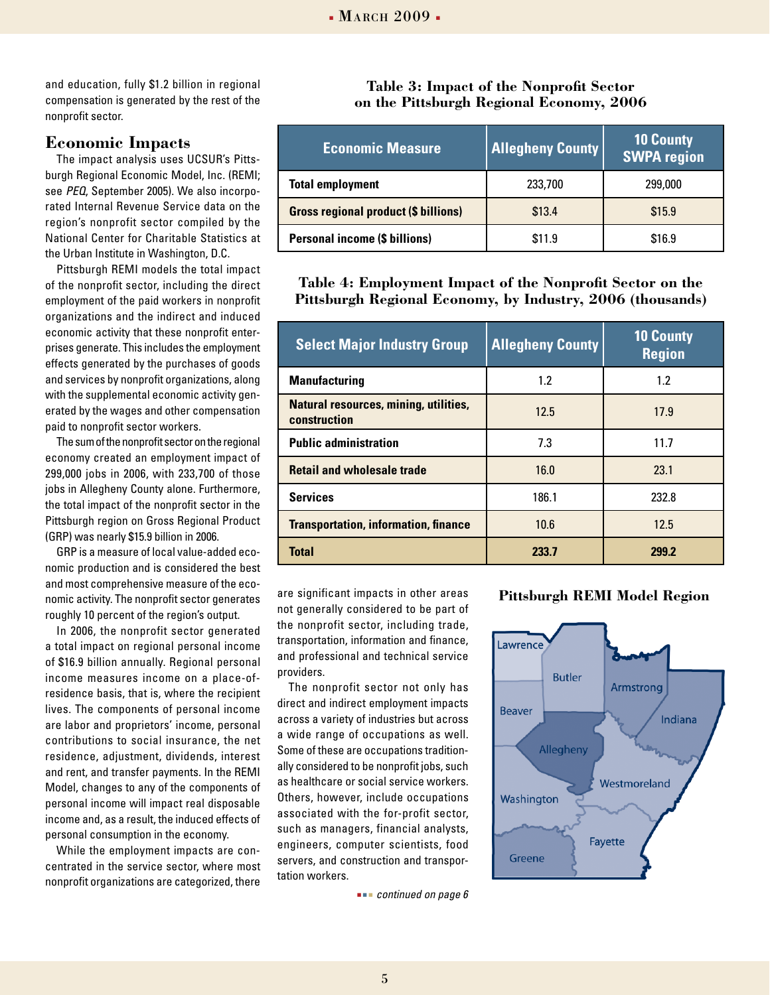and education, fully \$1.2 billion in regional compensation is generated by the rest of the nonprofit sector.

#### **Economic Impacts**

The impact analysis uses UCSUR's Pittsburgh Regional Economic Model, Inc. (REMI; see *PEQ*, September 2005). We also incorporated Internal Revenue Service data on the region's nonprofit sector compiled by the National Center for Charitable Statistics at the Urban Institute in Washington, D.C.

Pittsburgh REMI models the total impact of the nonprofit sector, including the direct employment of the paid workers in nonprofit organizations and the indirect and induced economic activity that these nonprofit enterprises generate. This includes the employment effects generated by the purchases of goods and services by nonprofit organizations, along with the supplemental economic activity generated by the wages and other compensation paid to nonprofit sector workers.

The sum of the nonprofit sector on the regional economy created an employment impact of 299,000 jobs in 2006, with 233,700 of those jobs in Allegheny County alone. Furthermore, the total impact of the nonprofit sector in the Pittsburgh region on Gross Regional Product (GRP) was nearly \$15.9 billion in 2006.

GRP is a measure of local value-added economic production and is considered the best and most comprehensive measure of the economic activity. The nonprofit sector generates roughly 10 percent of the region's output.

In 2006, the nonprofit sector generated a total impact on regional personal income of \$16.9 billion annually. Regional personal income measures income on a place-ofresidence basis, that is, where the recipient lives. The components of personal income are labor and proprietors' income, personal contributions to social insurance, the net residence, adjustment, dividends, interest and rent, and transfer payments. In the REMI Model, changes to any of the components of personal income will impact real disposable income and, as a result, the induced effects of personal consumption in the economy.

While the employment impacts are concentrated in the service sector, where most nonprofit organizations are categorized, there

**Table 3: Impact of the Nonprofit Sector on the Pittsburgh Regional Economy, 2006**

| <b>Economic Measure</b>                     | <b>Allegheny County</b> | 10 County<br><b>SWPA region</b> |
|---------------------------------------------|-------------------------|---------------------------------|
| <b>Total employment</b>                     | 233,700                 | 299,000                         |
| <b>Gross regional product (\$ billions)</b> | \$13.4                  | \$15.9                          |
| <b>Personal income (\$ billions)</b>        | \$11.9                  | \$16.9                          |

**Table 4: Employment Impact of the Nonprofit Sector on the Pittsburgh Regional Economy, by Industry, 2006 (thousands)**

| <b>Select Major Industry Group</b>                           | <b>Allegheny County</b> | <b>10 County</b><br><b>Region</b> |
|--------------------------------------------------------------|-------------------------|-----------------------------------|
| <b>Manufacturing</b>                                         | 1.2                     | 1.2                               |
| <b>Natural resources, mining, utilities,</b><br>construction | 12.5                    | 17.9                              |
| <b>Public administration</b>                                 | 7.3                     | 11.7                              |
| <b>Retail and wholesale trade</b>                            | 16.0                    | 23.1                              |
| <b>Services</b>                                              | 186.1                   | 232.8                             |
| <b>Transportation, information, finance</b>                  | 10.6                    | 12.5                              |
| <b>Total</b>                                                 | 233.7                   | 299.2                             |

are significant impacts in other areas not generally considered to be part of the nonprofit sector, including trade, transportation, information and finance, and professional and technical service providers.

The nonprofit sector not only has direct and indirect employment impacts across a variety of industries but across a wide range of occupations as well. Some of these are occupations traditionally considered to be nonprofit jobs, such as healthcare or social service workers. Others, however, include occupations associated with the for-profit sector, such as managers, financial analysts, engineers, computer scientists, food servers, and construction and transportation workers.

 *continued on page 6*

**Pittsburgh REMI Model Region**

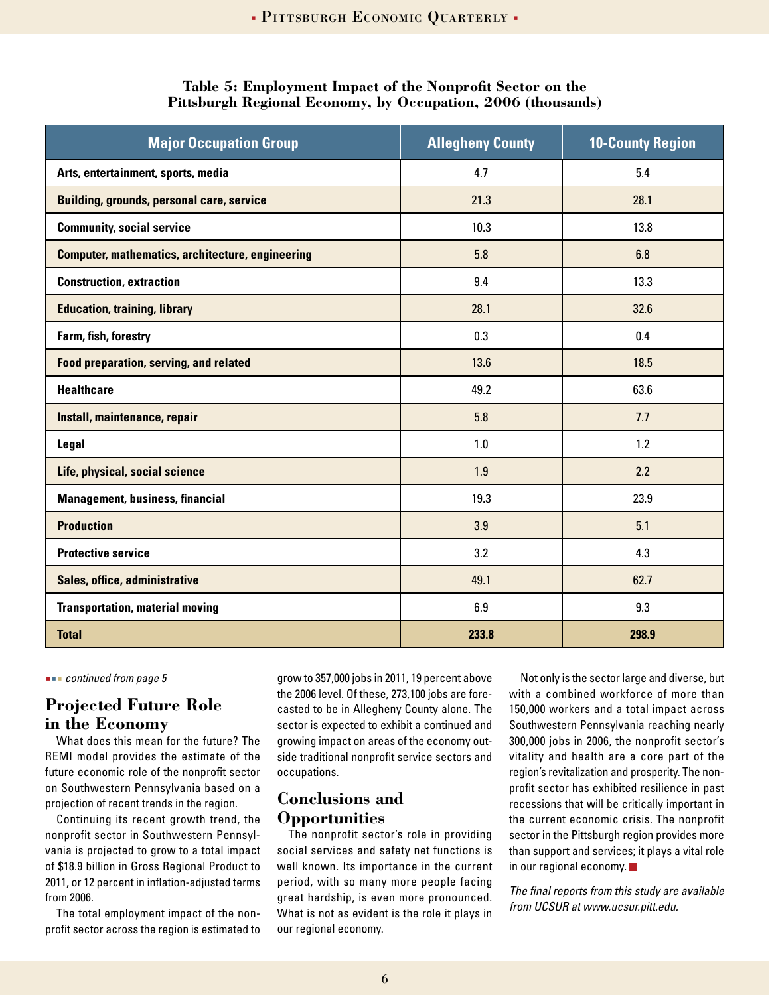| <b>Major Occupation Group</b>                           | <b>Allegheny County</b> | <b>10-County Region</b> |
|---------------------------------------------------------|-------------------------|-------------------------|
| Arts, entertainment, sports, media                      | 4.7                     | 5.4                     |
| <b>Building, grounds, personal care, service</b>        | 21.3                    | 28.1                    |
| <b>Community, social service</b>                        | 10.3                    | 13.8                    |
| <b>Computer, mathematics, architecture, engineering</b> | 5.8                     | 6.8                     |
| <b>Construction, extraction</b>                         | 9.4                     | 13.3                    |
| <b>Education, training, library</b>                     | 28.1                    | 32.6                    |
| Farm, fish, forestry                                    | 0.3                     | 0.4                     |
| <b>Food preparation, serving, and related</b>           | 13.6                    | 18.5                    |
| <b>Healthcare</b>                                       | 49.2                    | 63.6                    |
| Install, maintenance, repair                            | 5.8                     | 7.7                     |
| Legal                                                   | 1.0                     | 1.2                     |
| Life, physical, social science                          | 1.9                     | 2.2                     |
| <b>Management, business, financial</b>                  | 19.3                    | 23.9                    |
| <b>Production</b>                                       | 3.9                     | 5.1                     |
| <b>Protective service</b>                               | 3.2                     | 4.3                     |
| Sales, office, administrative                           | 49.1                    | 62.7                    |
| <b>Transportation, material moving</b>                  | 6.9                     | 9.3                     |
| <b>Total</b>                                            | 233.8                   | 298.9                   |

#### **Table 5: Employment Impact of the Nonprofit Sector on the Pittsburgh Regional Economy, by Occupation, 2006 (thousands)**

 *continued from page 5*

## **Projected Future Role in the Economy**

What does this mean for the future? The REMI model provides the estimate of the future economic role of the nonprofit sector on Southwestern Pennsylvania based on a projection of recent trends in the region.

Continuing its recent growth trend, the nonprofit sector in Southwestern Pennsylvania is projected to grow to a total impact of \$18.9 billion in Gross Regional Product to 2011, or 12 percent in inflation-adjusted terms from 2006.

The total employment impact of the nonprofit sector across the region is estimated to grow to 357,000 jobs in 2011, 19 percent above the 2006 level. Of these, 273,100 jobs are forecasted to be in Allegheny County alone. The sector is expected to exhibit a continued and growing impact on areas of the economy outside traditional nonprofit service sectors and occupations.

## **Conclusions and Opportunities**

The nonprofit sector's role in providing social services and safety net functions is well known. Its importance in the current period, with so many more people facing great hardship, is even more pronounced. What is not as evident is the role it plays in our regional economy.

Not only is the sector large and diverse, but with a combined workforce of more than 150,000 workers and a total impact across Southwestern Pennsylvania reaching nearly 300,000 jobs in 2006, the nonprofit sector's vitality and health are a core part of the region's revitalization and prosperity. The nonprofit sector has exhibited resilience in past recessions that will be critically important in the current economic crisis. The nonprofit sector in the Pittsburgh region provides more than support and services; it plays a vital role in our regional economy.

*The final reports from this study are available from UCSUR at www.ucsur.pitt.edu.*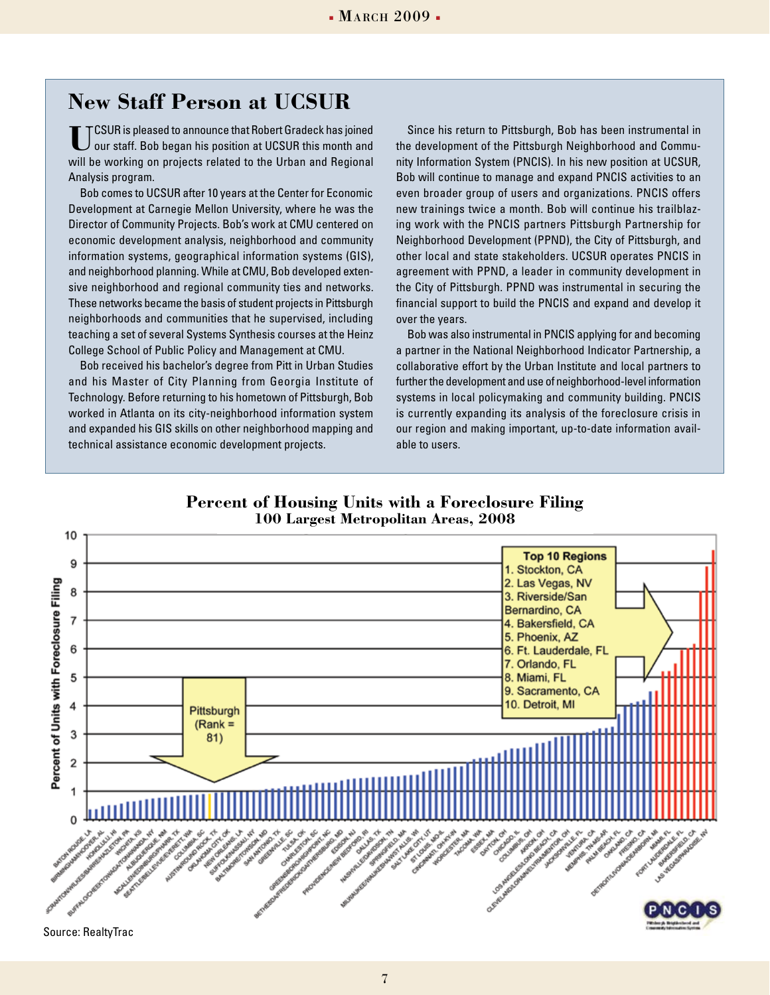## **New Staff Person at UCSUR**

**U**CSUR is pleased to announce that Robert Gradeck has joined our staff. Bob began his position at UCSUR this month and will be working on projects related to the Urban and Regional Analysis program.

Bob comes to UCSUR after 10 years at the Center for Economic Development at Carnegie Mellon University, where he was the Director of Community Projects. Bob's work at CMU centered on economic development analysis, neighborhood and community information systems, geographical information systems (GIS), and neighborhood planning. While at CMU, Bob developed extensive neighborhood and regional community ties and networks. These networks became the basis of student projects in Pittsburgh neighborhoods and communities that he supervised, including teaching a set of several Systems Synthesis courses at the Heinz College School of Public Policy and Management at CMU.

Bob received his bachelor's degree from Pitt in Urban Studies and his Master of City Planning from Georgia Institute of Technology. Before returning to his hometown of Pittsburgh, Bob worked in Atlanta on its city-neighborhood information system and expanded his GIS skills on other neighborhood mapping and technical assistance economic development projects.

Since his return to Pittsburgh, Bob has been instrumental in the development of the Pittsburgh Neighborhood and Community Information System (PNCIS). In his new position at UCSUR, Bob will continue to manage and expand PNCIS activities to an even broader group of users and organizations. PNCIS offers new trainings twice a month. Bob will continue his trailblazing work with the PNCIS partners Pittsburgh Partnership for Neighborhood Development (PPND), the City of Pittsburgh, and other local and state stakeholders. UCSUR operates PNCIS in agreement with PPND, a leader in community development in the City of Pittsburgh. PPND was instrumental in securing the financial support to build the PNCIS and expand and develop it over the years.

Bob was also instrumental in PNCIS applying for and becoming a partner in the National Neighborhood Indicator Partnership, a collaborative effort by the Urban Institute and local partners to further the development and use of neighborhood-level information systems in local policymaking and community building. PNCIS is currently expanding its analysis of the foreclosure crisis in our region and making important, up-to-date information available to users.